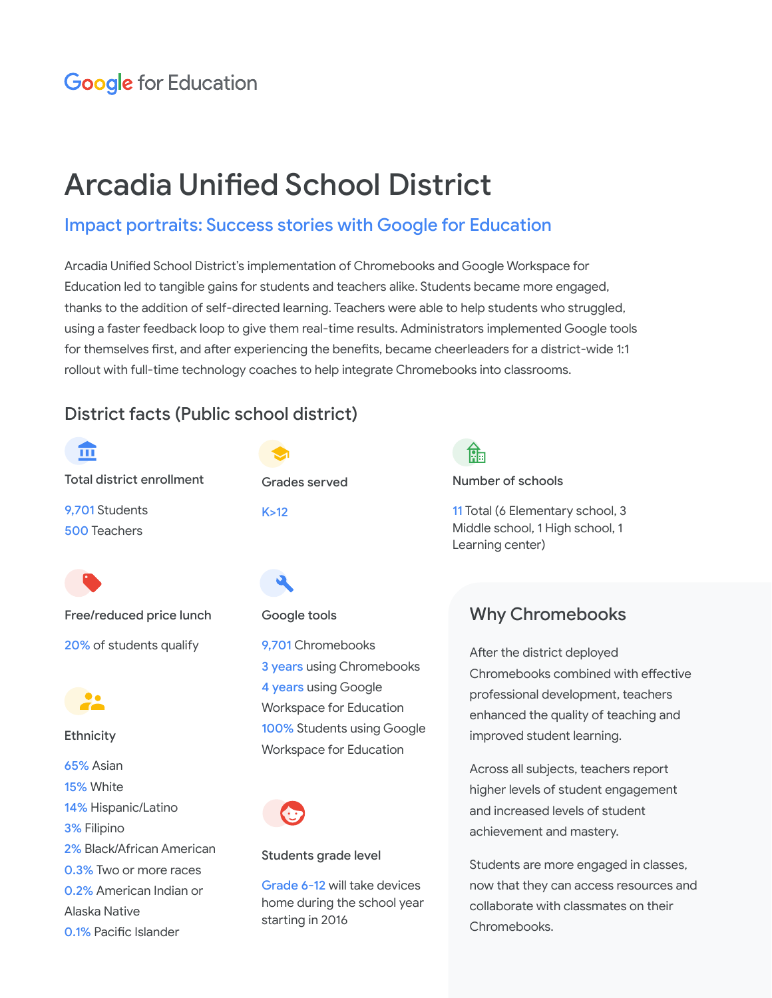# Arcadia Unified School District

# Impact portraits: Success stories with Google for Education

Arcadia Unified School District's implementation of Chromebooks and Google Workspace for Education led to tangible gains for students and teachers alike. Students became more engaged, thanks to the addition of self-directed learning. Teachers were able to help students who struggled, using a faster feedback loop to give them real-time results. Administrators implemented Google tools for themselves first, and after experiencing the benefits, became cheerleaders for a district-wide 1:1 rollout with full-time technology coaches to help integrate Chromebooks into classrooms.

# District facts (Public school district)



Grades served

9,701 Chromebooks **3 years using Chromebooks** 4 years using Google Workspace for Education 100% Students using Google Workspace for Education

### Students grade level

Grade 6-12 will take devices home during the school year starting in 2016

क्रि

Number of schools

11 Total (6 Elementary school, 3 Middle school, 1 High school, 1 Learning center)

# Why Chromebooks

After the district deployed Chromebooks combined with effective professional development, teachers enhanced the quality of teaching and improved student learning.

Across all subjects, teachers report higher levels of student engagement and increased levels of student achievement and mastery.

Students are more engaged in classes, now that they can access resources and collaborate with classmates on their Chromebooks.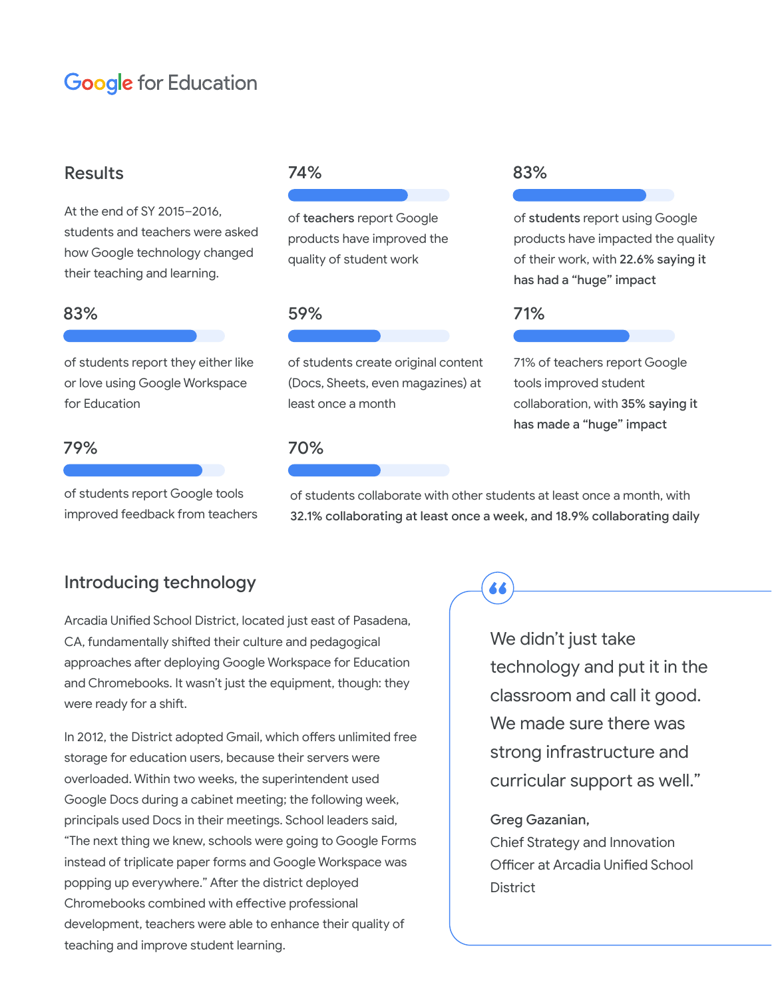# **Google** for Education

### Results

At the end of SY 2015–2016, students and teachers were asked how Google technology changed their teaching and learning.

### 83% 59% 71%

of students report they either like or love using Google Workspace for Education

### 79% 70%

of students report Google tools improved feedback from teachers

of teachers report Google products have improved the quality of student work

of students create original content (Docs, Sheets, even magazines) at least once a month

### 74% 83%

of students report using Google products have impacted the quality of their work, with 22.6% saying it has had a "huge" impact

71% of teachers report Google tools improved student collaboration, with 35% saying it has made a "huge" impact

of students collaborate with other students at least once a month, with 32.1% collaborating at least once a week, and 18.9% collaborating daily

66

### Introducing technology

Arcadia Unified School District, located just east of Pasadena, CA, fundamentally shifted their culture and pedagogical approaches after deploying Google Workspace for Education and Chromebooks. It wasn't just the equipment, though: they were ready for a shift.

In 2012, the District adopted Gmail, which offers unlimited free storage for education users, because their servers were overloaded. Within two weeks, the superintendent used Google Docs during a cabinet meeting; the following week, principals used Docs in their meetings. School leaders said, "The next thing we knew, schools were going to Google Forms instead of triplicate paper forms and Google Workspace was popping up everywhere." After the district deployed Chromebooks combined with effective professional development, teachers were able to enhance their quality of teaching and improve student learning.

We didn't just take technology and put it in the classroom and call it good. We made sure there was strong infrastructure and curricular support as well."

### Greg Gazanian,

Chief Strategy and Innovation Officer at Arcadia Unified School **District**